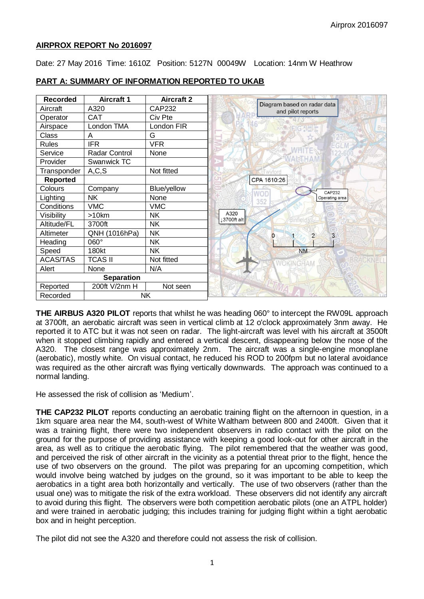## **AIRPROX REPORT No 2016097**

Date: 27 May 2016 Time: 1610Z Position: 5127N 00049W Location: 14nm W Heathrow

| <b>Recorded</b>   | <b>Aircraft 1</b>    | <b>Aircraft 2</b>  |
|-------------------|----------------------|--------------------|
| Aircraft          | A320                 | <b>CAP232</b>      |
| Operator          | <b>CAT</b>           | Civ Pte            |
| Airspace          | London TMA           | London FIR         |
| Class             | A                    | G                  |
| <b>Rules</b>      | <b>IFR</b>           | <b>VFR</b>         |
| Service           | <b>Radar Control</b> | None               |
| Provider          | Swanwick TC          |                    |
| Transponder       | A, C, S              | Not fitted         |
| <b>Reported</b>   |                      |                    |
| Colours           | Company              | <b>Blue/yellow</b> |
| Lighting          | <b>NK</b>            | None               |
| Conditions        | <b>VMC</b>           | <b>VMC</b>         |
| Visibility        | $>10$ km             | <b>NK</b>          |
| Altitude/FL       | 3700ft               | <b>NK</b>          |
| Altimeter         | QNH (1016hPa)        | <b>NK</b>          |
| Heading           | 060°                 | <b>NK</b>          |
| Speed             | 180kt                | <b>NK</b>          |
| <b>ACAS/TAS</b>   | <b>TCAS II</b>       | Not fitted         |
| Alert             | None                 | N/A                |
| <b>Separation</b> |                      |                    |
| Reported          | 200ft V/2nm H        | Not seen           |
| Recorded          | <b>NK</b>            |                    |

# **PART A: SUMMARY OF INFORMATION REPORTED TO UKAB**

**THE AIRBUS A320 PILOT** reports that whilst he was heading 060° to intercept the RW09L approach at 3700ft, an aerobatic aircraft was seen in vertical climb at 12 o'clock approximately 3nm away. He reported it to ATC but it was not seen on radar. The light-aircraft was level with his aircraft at 3500ft when it stopped climbing rapidly and entered a vertical descent, disappearing below the nose of the A320. The closest range was approximately 2nm. The aircraft was a single-engine monoplane (aerobatic), mostly white. On visual contact, he reduced his ROD to 200fpm but no lateral avoidance was required as the other aircraft was flying vertically downwards. The approach was continued to a normal landing.

He assessed the risk of collision as 'Medium'.

**THE CAP232 PILOT** reports conducting an aerobatic training flight on the afternoon in question, in a 1km square area near the M4, south-west of White Waltham between 800 and 2400ft. Given that it was a training flight, there were two independent observers in radio contact with the pilot on the ground for the purpose of providing assistance with keeping a good look-out for other aircraft in the area, as well as to critique the aerobatic flying. The pilot remembered that the weather was good, and perceived the risk of other aircraft in the vicinity as a potential threat prior to the flight, hence the use of two observers on the ground. The pilot was preparing for an upcoming competition, which would involve being watched by judges on the ground, so it was important to be able to keep the aerobatics in a tight area both horizontally and vertically. The use of two observers (rather than the usual one) was to mitigate the risk of the extra workload. These observers did not identify any aircraft to avoid during this flight. The observers were both competition aerobatic pilots (one an ATPL holder) and were trained in aerobatic judging; this includes training for judging flight within a tight aerobatic box and in height perception.

The pilot did not see the A320 and therefore could not assess the risk of collision.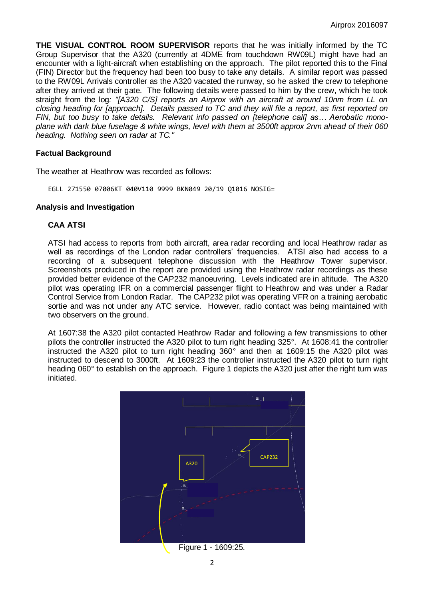**THE VISUAL CONTROL ROOM SUPERVISOR** reports that he was initially informed by the TC Group Supervisor that the A320 (currently at 4DME from touchdown RW09L) might have had an encounter with a light-aircraft when establishing on the approach. The pilot reported this to the Final (FIN) Director but the frequency had been too busy to take any details. A similar report was passed to the RW09L Arrivals controller as the A320 vacated the runway, so he asked the crew to telephone after they arrived at their gate. The following details were passed to him by the crew, which he took straight from the log*: "[A320 C/S] reports an Airprox with an aircraft at around 10nm from LL on closing heading for [approach]. Details passed to TC and they will file a report, as first reported on FIN, but too busy to take details. Relevant info passed on [telephone call] as… Aerobatic monoplane with dark blue fuselage & white wings, level with them at 3500ft approx 2nm ahead of their 060 heading. Nothing seen on radar at TC."*

## **Factual Background**

The weather at Heathrow was recorded as follows:

EGLL 271550 07006KT 040V110 9999 BKN049 20/19 Q1016 NOSIG=

## **Analysis and Investigation**

## **CAA ATSI**

ATSI had access to reports from both aircraft, area radar recording and local Heathrow radar as well as recordings of the London radar controllers' frequencies. ATSI also had access to a recording of a subsequent telephone discussion with the Heathrow Tower supervisor. Screenshots produced in the report are provided using the Heathrow radar recordings as these provided better evidence of the CAP232 manoeuvring. Levels indicated are in altitude. The A320 pilot was operating IFR on a commercial passenger flight to Heathrow and was under a Radar Control Service from London Radar. The CAP232 pilot was operating VFR on a training aerobatic sortie and was not under any ATC service. However, radio contact was being maintained with two observers on the ground.

At 1607:38 the A320 pilot contacted Heathrow Radar and following a few transmissions to other pilots the controller instructed the A320 pilot to turn right heading 325°. At 1608:41 the controller instructed the A320 pilot to turn right heading 360° and then at 1609:15 the A320 pilot was instructed to descend to 3000ft. At 1609:23 the controller instructed the A320 pilot to turn right heading 060° to establish on the approach. Figure 1 depicts the A320 just after the right turn was initiated.

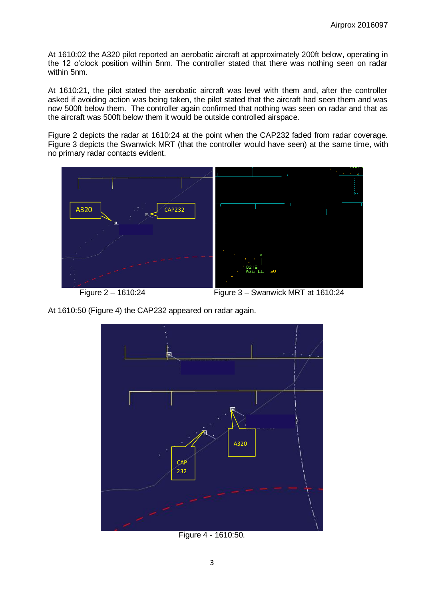At 1610:02 the A320 pilot reported an aerobatic aircraft at approximately 200ft below, operating in the 12 o'clock position within 5nm. The controller stated that there was nothing seen on radar within 5nm.

At 1610:21, the pilot stated the aerobatic aircraft was level with them and, after the controller asked if avoiding action was being taken, the pilot stated that the aircraft had seen them and was now 500ft below them. The controller again confirmed that nothing was seen on radar and that as the aircraft was 500ft below them it would be outside controlled airspace.

Figure 2 depicts the radar at 1610:24 at the point when the CAP232 faded from radar coverage. Figure 3 depicts the Swanwick MRT (that the controller would have seen) at the same time, with no primary radar contacts evident.



At 1610:50 (Figure 4) the CAP232 appeared on radar again.



Figure 4 - 1610:50.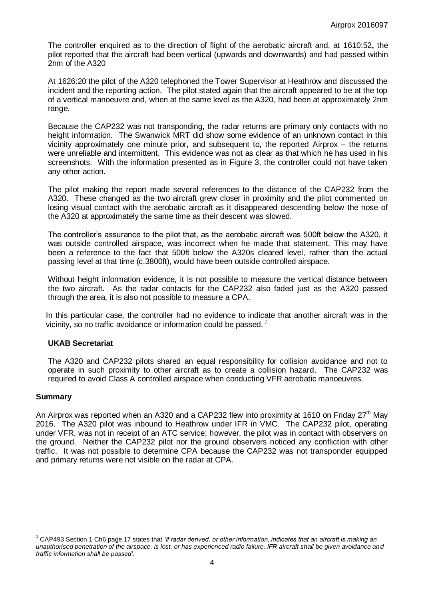The controller enquired as to the direction of flight of the aerobatic aircraft and, at 1610:52**,** the pilot reported that the aircraft had been vertical (upwards and downwards) and had passed within 2nm of the A320

At 1626:20 the pilot of the A320 telephoned the Tower Supervisor at Heathrow and discussed the incident and the reporting action. The pilot stated again that the aircraft appeared to be at the top of a vertical manoeuvre and, when at the same level as the A320, had been at approximately 2nm range.

Because the CAP232 was not transponding, the radar returns are primary only contacts with no height information. The Swanwick MRT did show some evidence of an unknown contact in this vicinity approximately one minute prior, and subsequent to, the reported Airprox – the returns were unreliable and intermittent. This evidence was not as clear as that which he has used in his screenshots. With the information presented as in Figure 3, the controller could not have taken any other action.

The pilot making the report made several references to the distance of the CAP232 from the A320. These changed as the two aircraft grew closer in proximity and the pilot commented on losing visual contact with the aerobatic aircraft as it disappeared descending below the nose of the A320 at approximately the same time as their descent was slowed.

The controller's assurance to the pilot that, as the aerobatic aircraft was 500ft below the A320, it was outside controlled airspace, was incorrect when he made that statement. This may have been a reference to the fact that 500ft below the A320s cleared level, rather than the actual passing level at that time (c.3800ft), would have been outside controlled airspace.

Without height information evidence, it is not possible to measure the vertical distance between the two aircraft. As the radar contacts for the CAP232 also faded just as the A320 passed through the area, it is also not possible to measure a CPA.

In this particular case, the controller had no evidence to indicate that another aircraft was in the vicinity, so no traffic avoidance or information could be passed. *<sup>1</sup>*

## **UKAB Secretariat**

The A320 and CAP232 pilots shared an equal responsibility for collision avoidance and not to operate in such proximity to other aircraft as to create a collision hazard. The CAP232 was required to avoid Class A controlled airspace when conducting VFR aerobatic manoeuvres.

## **Summary**

An Airprox was reported when an A320 and a CAP232 flew into proximity at 1610 on Friday 27<sup>th</sup> May 2016. The A320 pilot was inbound to Heathrow under IFR in VMC. The CAP232 pilot, operating under VFR, was not in receipt of an ATC service; however, the pilot was in contact with observers on the ground. Neither the CAP232 pilot nor the ground observers noticed any confliction with other traffic. It was not possible to determine CPA because the CAP232 was not transponder equipped and primary returns were not visible on the radar at CPA.

 $\overline{\phantom{a}}$ <sup>1</sup> CAP493 Section 1 Ch6 page 17 states that *'If radar derived, or other information, indicates that an aircraft is making an unauthorised penetration of the airspace, is lost, or has experienced radio failure, IFR aircraft shall be given avoidance and traffic information shall be passed'*.